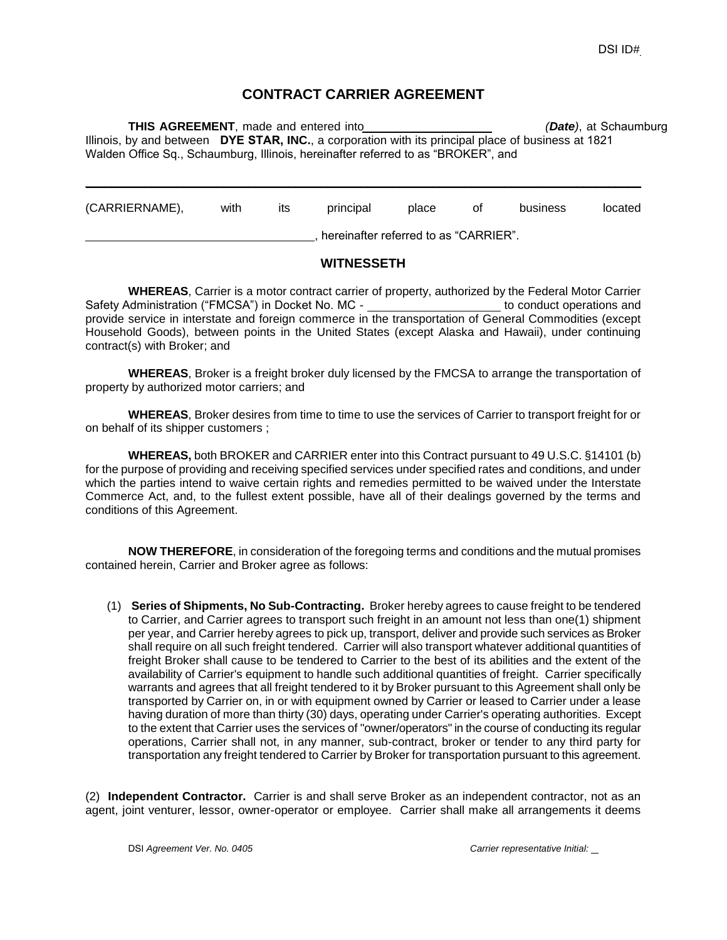## **CONTRACT CARRIER AGREEMENT**

**THIS AGREEMENT**, made and entered into *(Date)*, at Schaumburg Illinois, by and between **DYE STAR, INC.**, a corporation with its principal place of business at 1821 Walden Office Sq., Schaumburg, Illinois, hereinafter referred to as "BROKER", and

| (CARRIERNAME), | with                                  | its | principal | place | οt | business | located |
|----------------|---------------------------------------|-----|-----------|-------|----|----------|---------|
|                | hereinafter referred to as "CARRIER". |     |           |       |    |          |         |

## **WITNESSETH**

**WHEREAS**, Carrier is a motor contract carrier of property, authorized by the Federal Motor Carrier Safety Administration ("FMCSA") in Docket No. MC - to conduct operations and provide service in interstate and foreign commerce in the transportation of General Commodities (except Household Goods), between points in the United States (except Alaska and Hawaii), under continuing contract(s) with Broker; and

**WHEREAS**, Broker is a freight broker duly licensed by the FMCSA to arrange the transportation of property by authorized motor carriers; and

**WHEREAS**, Broker desires from time to time to use the services of Carrier to transport freight for or on behalf of its shipper customers ;

**WHEREAS,** both BROKER and CARRIER enter into this Contract pursuant to 49 U.S.C. §14101 (b) for the purpose of providing and receiving specified services under specified rates and conditions, and under which the parties intend to waive certain rights and remedies permitted to be waived under the Interstate Commerce Act, and, to the fullest extent possible, have all of their dealings governed by the terms and conditions of this Agreement.

**NOW THEREFORE**, in consideration of the foregoing terms and conditions and the mutual promises contained herein, Carrier and Broker agree as follows:

(1) **Series of Shipments, No Sub-Contracting.** Broker hereby agrees to cause freight to be tendered to Carrier, and Carrier agrees to transport such freight in an amount not less than one(1) shipment per year, and Carrier hereby agrees to pick up, transport, deliver and provide such services as Broker shall require on all such freight tendered. Carrier will also transport whatever additional quantities of freight Broker shall cause to be tendered to Carrier to the best of its abilities and the extent of the availability of Carrier's equipment to handle such additional quantities of freight. Carrier specifically warrants and agrees that all freight tendered to it by Broker pursuant to this Agreement shall only be transported by Carrier on, in or with equipment owned by Carrier or leased to Carrier under a lease having duration of more than thirty (30) days, operating under Carrier's operating authorities. Except to the extent that Carrier uses the services of "owner/operators" in the course of conducting its regular operations, Carrier shall not, in any manner, sub-contract, broker or tender to any third party for transportation any freight tendered to Carrier by Broker for transportation pursuant to this agreement.

(2) **Independent Contractor.** Carrier is and shall serve Broker as an independent contractor, not as an agent, joint venturer, lessor, owner-operator or employee. Carrier shall make all arrangements it deems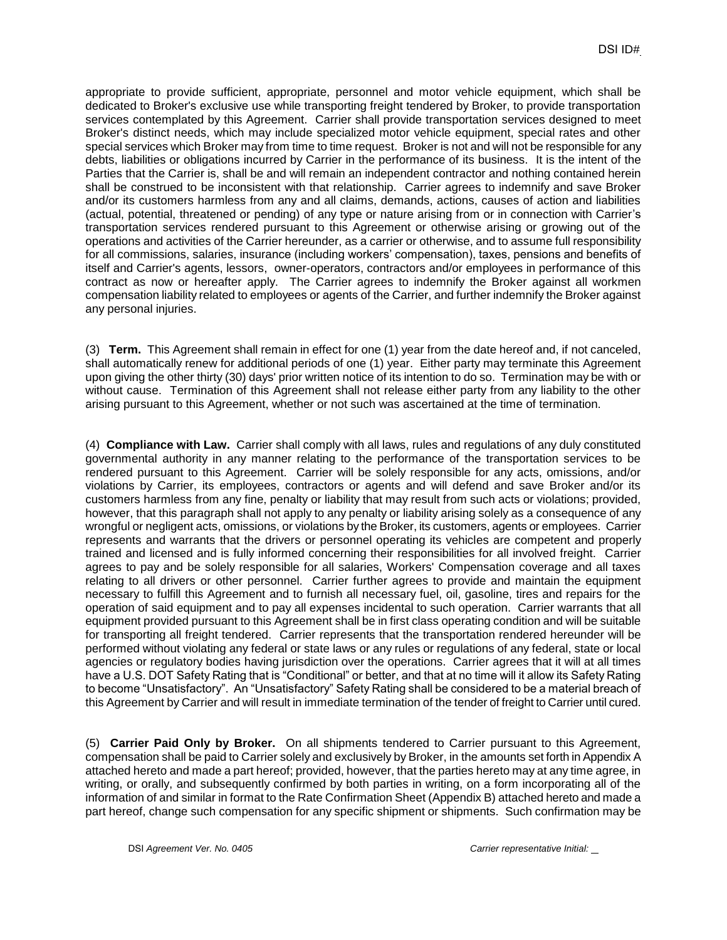appropriate to provide sufficient, appropriate, personnel and motor vehicle equipment, which shall be dedicated to Broker's exclusive use while transporting freight tendered by Broker, to provide transportation services contemplated by this Agreement. Carrier shall provide transportation services designed to meet Broker's distinct needs, which may include specialized motor vehicle equipment, special rates and other special services which Broker may from time to time request. Broker is not and will not be responsible for any debts, liabilities or obligations incurred by Carrier in the performance of its business. It is the intent of the Parties that the Carrier is, shall be and will remain an independent contractor and nothing contained herein shall be construed to be inconsistent with that relationship. Carrier agrees to indemnify and save Broker and/or its customers harmless from any and all claims, demands, actions, causes of action and liabilities (actual, potential, threatened or pending) of any type or nature arising from or in connection with Carrier's transportation services rendered pursuant to this Agreement or otherwise arising or growing out of the operations and activities of the Carrier hereunder, as a carrier or otherwise, and to assume full responsibility for all commissions, salaries, insurance (including workers' compensation), taxes, pensions and benefits of itself and Carrier's agents, lessors, owner-operators, contractors and/or employees in performance of this contract as now or hereafter apply. The Carrier agrees to indemnify the Broker against all workmen compensation liability related to employees or agents of the Carrier, and further indemnify the Broker against any personal injuries.

(3) **Term.** This Agreement shall remain in effect for one (1) year from the date hereof and, if not canceled, shall automatically renew for additional periods of one (1) year. Either party may terminate this Agreement upon giving the other thirty (30) days' prior written notice of its intention to do so. Termination may be with or without cause. Termination of this Agreement shall not release either party from any liability to the other arising pursuant to this Agreement, whether or not such was ascertained at the time of termination.

(4) **Compliance with Law.** Carrier shall comply with all laws, rules and regulations of any duly constituted governmental authority in any manner relating to the performance of the transportation services to be rendered pursuant to this Agreement. Carrier will be solely responsible for any acts, omissions, and/or violations by Carrier, its employees, contractors or agents and will defend and save Broker and/or its customers harmless from any fine, penalty or liability that may result from such acts or violations; provided, however, that this paragraph shall not apply to any penalty or liability arising solely as a consequence of any wrongful or negligent acts, omissions, or violations by the Broker, its customers, agents or employees. Carrier represents and warrants that the drivers or personnel operating its vehicles are competent and properly trained and licensed and is fully informed concerning their responsibilities for all involved freight. Carrier agrees to pay and be solely responsible for all salaries, Workers' Compensation coverage and all taxes relating to all drivers or other personnel. Carrier further agrees to provide and maintain the equipment necessary to fulfill this Agreement and to furnish all necessary fuel, oil, gasoline, tires and repairs for the operation of said equipment and to pay all expenses incidental to such operation. Carrier warrants that all equipment provided pursuant to this Agreement shall be in first class operating condition and will be suitable for transporting all freight tendered. Carrier represents that the transportation rendered hereunder will be performed without violating any federal or state laws or any rules or regulations of any federal, state or local agencies or regulatory bodies having jurisdiction over the operations. Carrier agrees that it will at all times have a U.S. DOT Safety Rating that is "Conditional" or better, and that at no time will it allow its Safety Rating to become "Unsatisfactory". An "Unsatisfactory" Safety Rating shall be considered to be a material breach of this Agreement by Carrier and will result in immediate termination of the tender of freight to Carrier until cured.

(5) **Carrier Paid Only by Broker.** On all shipments tendered to Carrier pursuant to this Agreement, compensation shall be paid to Carrier solely and exclusively by Broker, in the amounts set forth in Appendix A attached hereto and made a part hereof; provided, however, that the parties hereto may at any time agree, in writing, or orally, and subsequently confirmed by both parties in writing, on a form incorporating all of the information of and similar in format to the Rate Confirmation Sheet (Appendix B) attached hereto and made a part hereof, change such compensation for any specific shipment or shipments. Such confirmation may be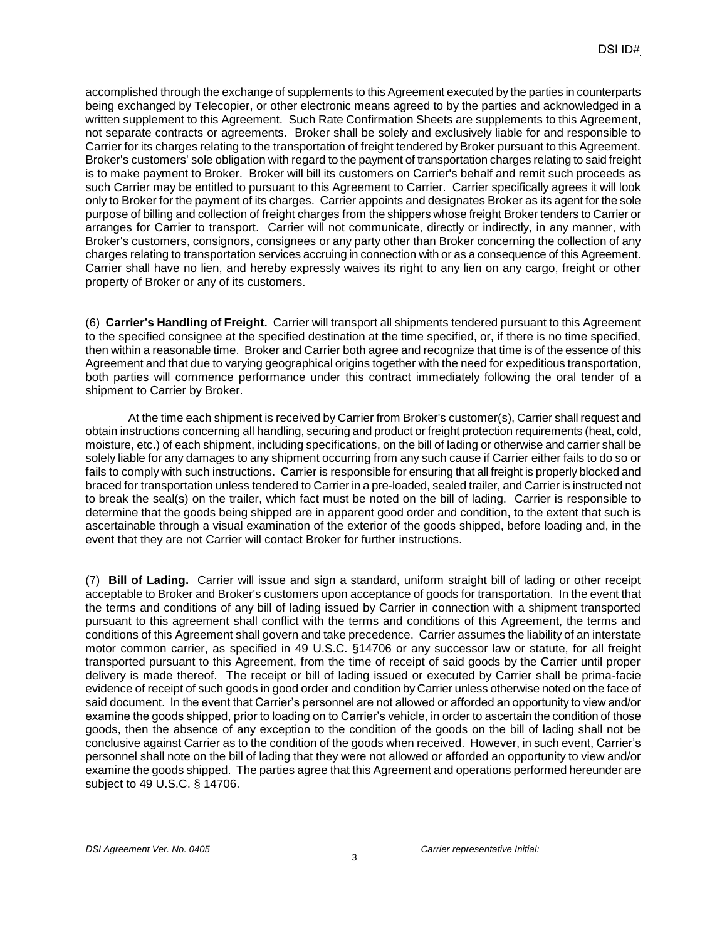accomplished through the exchange of supplements to this Agreement executed by the parties in counterparts being exchanged by Telecopier, or other electronic means agreed to by the parties and acknowledged in a written supplement to this Agreement. Such Rate Confirmation Sheets are supplements to this Agreement, not separate contracts or agreements. Broker shall be solely and exclusively liable for and responsible to Carrier for its charges relating to the transportation of freight tendered by Broker pursuant to this Agreement. Broker's customers' sole obligation with regard to the payment of transportation charges relating to said freight is to make payment to Broker. Broker will bill its customers on Carrier's behalf and remit such proceeds as such Carrier may be entitled to pursuant to this Agreement to Carrier. Carrier specifically agrees it will look only to Broker for the payment of its charges. Carrier appoints and designates Broker as its agent for the sole purpose of billing and collection of freight charges from the shippers whose freight Broker tenders to Carrier or arranges for Carrier to transport. Carrier will not communicate, directly or indirectly, in any manner, with Broker's customers, consignors, consignees or any party other than Broker concerning the collection of any charges relating to transportation services accruing in connection with or as a consequence of this Agreement. Carrier shall have no lien, and hereby expressly waives its right to any lien on any cargo, freight or other property of Broker or any of its customers.

(6) **Carrier's Handling of Freight.** Carrier will transport all shipments tendered pursuant to this Agreement to the specified consignee at the specified destination at the time specified, or, if there is no time specified, then within a reasonable time. Broker and Carrier both agree and recognize that time is of the essence of this Agreement and that due to varying geographical origins together with the need for expeditious transportation, both parties will commence performance under this contract immediately following the oral tender of a shipment to Carrier by Broker.

At the time each shipment is received by Carrier from Broker's customer(s), Carrier shall request and obtain instructions concerning all handling, securing and product or freight protection requirements (heat, cold, moisture, etc.) of each shipment, including specifications, on the bill of lading or otherwise and carrier shall be solely liable for any damages to any shipment occurring from any such cause if Carrier either fails to do so or fails to comply with such instructions. Carrier is responsible for ensuring that all freight is properly blocked and braced for transportation unless tendered to Carrier in a pre-loaded, sealed trailer, and Carrier is instructed not to break the seal(s) on the trailer, which fact must be noted on the bill of lading. Carrier is responsible to determine that the goods being shipped are in apparent good order and condition, to the extent that such is ascertainable through a visual examination of the exterior of the goods shipped, before loading and, in the event that they are not Carrier will contact Broker for further instructions.

(7) **Bill of Lading.** Carrier will issue and sign a standard, uniform straight bill of lading or other receipt acceptable to Broker and Broker's customers upon acceptance of goods for transportation. In the event that the terms and conditions of any bill of lading issued by Carrier in connection with a shipment transported pursuant to this agreement shall conflict with the terms and conditions of this Agreement, the terms and conditions of this Agreement shall govern and take precedence. Carrier assumes the liability of an interstate motor common carrier, as specified in 49 U.S.C. §14706 or any successor law or statute, for all freight transported pursuant to this Agreement, from the time of receipt of said goods by the Carrier until proper delivery is made thereof. The receipt or bill of lading issued or executed by Carrier shall be prima-facie evidence of receipt of such goods in good order and condition by Carrier unless otherwise noted on the face of said document. In the event that Carrier's personnel are not allowed or afforded an opportunity to view and/or examine the goods shipped, prior to loading on to Carrier's vehicle, in order to ascertain the condition of those goods, then the absence of any exception to the condition of the goods on the bill of lading shall not be conclusive against Carrier as to the condition of the goods when received. However, in such event, Carrier's personnel shall note on the bill of lading that they were not allowed or afforded an opportunity to view and/or examine the goods shipped. The parties agree that this Agreement and operations performed hereunder are subject to 49 U.S.C. § 14706.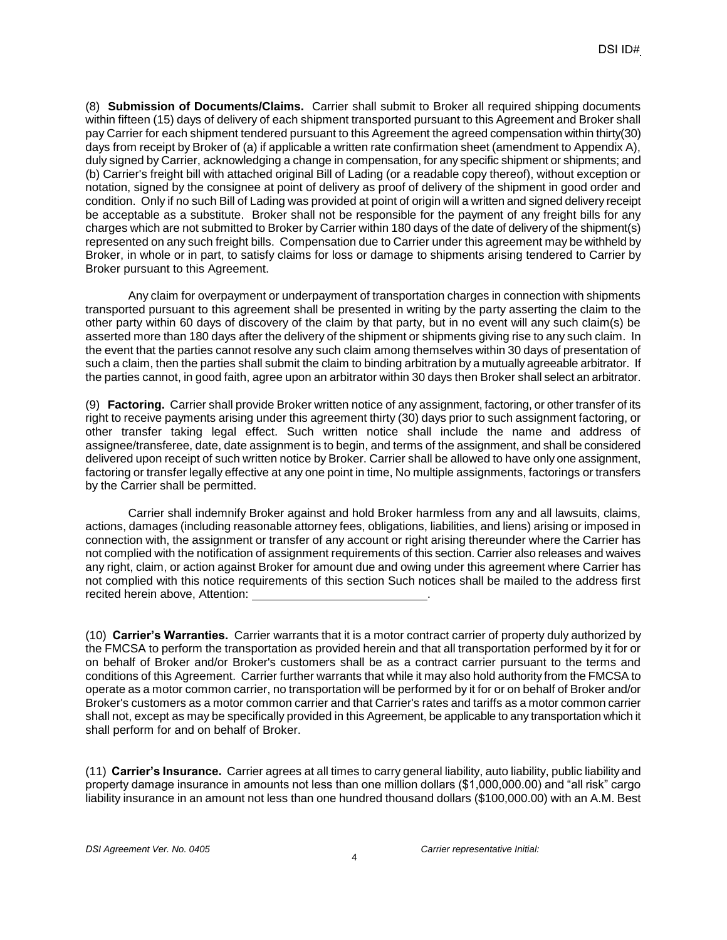(8) **Submission of Documents/Claims.** Carrier shall submit to Broker all required shipping documents within fifteen (15) days of delivery of each shipment transported pursuant to this Agreement and Broker shall pay Carrier for each shipment tendered pursuant to this Agreement the agreed compensation within thirty(30) days from receipt by Broker of (a) if applicable a written rate confirmation sheet (amendment to Appendix A), duly signed by Carrier, acknowledging a change in compensation, for any specific shipment or shipments; and (b) Carrier's freight bill with attached original Bill of Lading (or a readable copy thereof), without exception or notation, signed by the consignee at point of delivery as proof of delivery of the shipment in good order and condition. Only if no such Bill of Lading was provided at point of origin will a written and signed delivery receipt be acceptable as a substitute. Broker shall not be responsible for the payment of any freight bills for any charges which are not submitted to Broker by Carrier within 180 days of the date of delivery of the shipment(s) represented on any such freight bills. Compensation due to Carrier under this agreement may be withheld by Broker, in whole or in part, to satisfy claims for loss or damage to shipments arising tendered to Carrier by Broker pursuant to this Agreement.

Any claim for overpayment or underpayment of transportation charges in connection with shipments transported pursuant to this agreement shall be presented in writing by the party asserting the claim to the other party within 60 days of discovery of the claim by that party, but in no event will any such claim(s) be asserted more than 180 days after the delivery of the shipment or shipments giving rise to any such claim. In the event that the parties cannot resolve any such claim among themselves within 30 days of presentation of such a claim, then the parties shall submit the claim to binding arbitration by a mutually agreeable arbitrator. If the parties cannot, in good faith, agree upon an arbitrator within 30 days then Broker shall select an arbitrator.

(9) **Factoring.** Carrier shall provide Broker written notice of any assignment, factoring, or other transfer of its right to receive payments arising under this agreement thirty (30) days prior to such assignment factoring, or other transfer taking legal effect. Such written notice shall include the name and address of assignee/transferee, date, date assignment is to begin, and terms of the assignment, and shall be considered delivered upon receipt of such written notice by Broker. Carrier shall be allowed to have only one assignment, factoring or transfer legally effective at any one point in time, No multiple assignments, factorings or transfers by the Carrier shall be permitted.

Carrier shall indemnify Broker against and hold Broker harmless from any and all lawsuits, claims, actions, damages (including reasonable attorney fees, obligations, liabilities, and liens) arising or imposed in connection with, the assignment or transfer of any account or right arising thereunder where the Carrier has not complied with the notification of assignment requirements of this section. Carrier also releases and waives any right, claim, or action against Broker for amount due and owing under this agreement where Carrier has not complied with this notice requirements of this section Such notices shall be mailed to the address first recited herein above, Attention:

(10) **Carrier's Warranties.** Carrier warrants that it is a motor contract carrier of property duly authorized by the FMCSA to perform the transportation as provided herein and that all transportation performed by it for or on behalf of Broker and/or Broker's customers shall be as a contract carrier pursuant to the terms and conditions of this Agreement. Carrier further warrants that while it may also hold authority from the FMCSA to operate as a motor common carrier, no transportation will be performed by it for or on behalf of Broker and/or Broker's customers as a motor common carrier and that Carrier's rates and tariffs as a motor common carrier shall not, except as may be specifically provided in this Agreement, be applicable to any transportation which it shall perform for and on behalf of Broker.

(11) **Carrier's Insurance.** Carrier agrees at all times to carry general liability, auto liability, public liability and property damage insurance in amounts not less than one million dollars (\$1,000,000.00) and "all risk" cargo liability insurance in an amount not less than one hundred thousand dollars (\$100,000.00) with an A.M. Best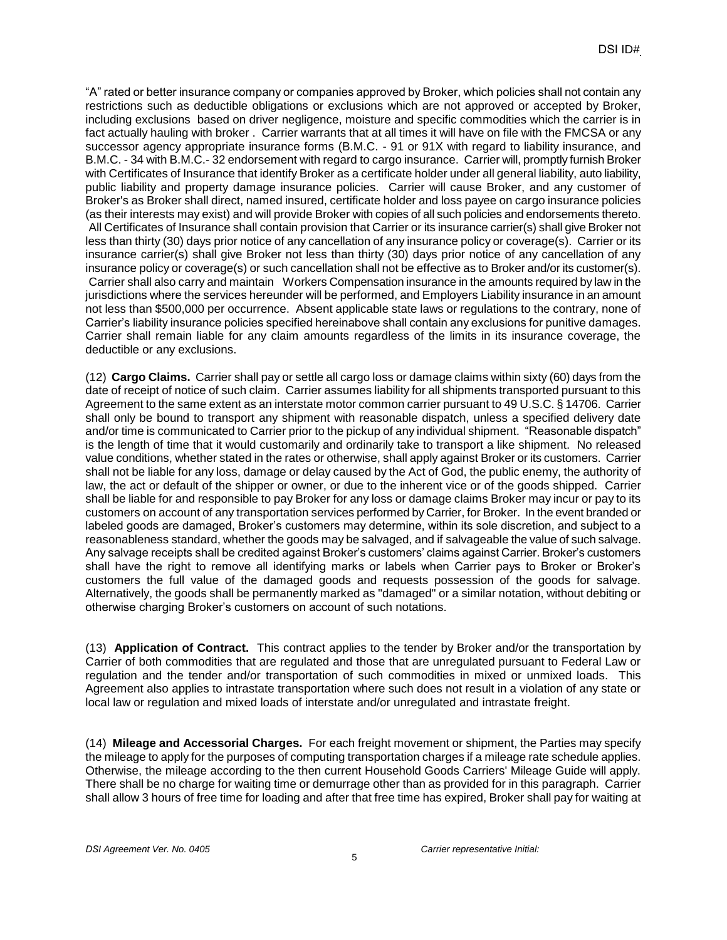"A" rated or better insurance company or companies approved by Broker, which policies shall not contain any restrictions such as deductible obligations or exclusions which are not approved or accepted by Broker, including exclusions based on driver negligence, moisture and specific commodities which the carrier is in fact actually hauling with broker . Carrier warrants that at all times it will have on file with the FMCSA or any successor agency appropriate insurance forms (B.M.C. - 91 or 91X with regard to liability insurance, and B.M.C. - 34 with B.M.C.- 32 endorsement with regard to cargo insurance. Carrier will, promptly furnish Broker with Certificates of Insurance that identify Broker as a certificate holder under all general liability, auto liability, public liability and property damage insurance policies. Carrier will cause Broker, and any customer of Broker's as Broker shall direct, named insured, certificate holder and loss payee on cargo insurance policies (as their interests may exist) and will provide Broker with copies of all such policies and endorsements thereto. All Certificates of Insurance shall contain provision that Carrier or its insurance carrier(s) shall give Broker not less than thirty (30) days prior notice of any cancellation of any insurance policy or coverage(s). Carrier or its insurance carrier(s) shall give Broker not less than thirty (30) days prior notice of any cancellation of any insurance policy or coverage(s) or such cancellation shall not be effective as to Broker and/or its customer(s). Carrier shall also carry and maintain Workers Compensation insurance in the amounts required by law in the jurisdictions where the services hereunder will be performed, and Employers Liability insurance in an amount not less than \$500,000 per occurrence. Absent applicable state laws or regulations to the contrary, none of Carrier's liability insurance policies specified hereinabove shall contain any exclusions for punitive damages. Carrier shall remain liable for any claim amounts regardless of the limits in its insurance coverage, the deductible or any exclusions.

(12) **Cargo Claims.** Carrier shall pay or settle all cargo loss or damage claims within sixty (60) days from the date of receipt of notice of such claim. Carrier assumes liability for all shipments transported pursuant to this Agreement to the same extent as an interstate motor common carrier pursuant to 49 U.S.C. § 14706. Carrier shall only be bound to transport any shipment with reasonable dispatch, unless a specified delivery date and/or time is communicated to Carrier prior to the pickup of any individual shipment. "Reasonable dispatch" is the length of time that it would customarily and ordinarily take to transport a like shipment. No released value conditions, whether stated in the rates or otherwise, shall apply against Broker or its customers. Carrier shall not be liable for any loss, damage or delay caused by the Act of God, the public enemy, the authority of law, the act or default of the shipper or owner, or due to the inherent vice or of the goods shipped. Carrier shall be liable for and responsible to pay Broker for any loss or damage claims Broker may incur or pay to its customers on account of any transportation services performed by Carrier, for Broker. In the event branded or labeled goods are damaged, Broker's customers may determine, within its sole discretion, and subject to a reasonableness standard, whether the goods may be salvaged, and if salvageable the value of such salvage. Any salvage receipts shall be credited against Broker's customers' claims against Carrier. Broker's customers shall have the right to remove all identifying marks or labels when Carrier pays to Broker or Broker's customers the full value of the damaged goods and requests possession of the goods for salvage. Alternatively, the goods shall be permanently marked as "damaged" or a similar notation, without debiting or otherwise charging Broker's customers on account of such notations.

(13) **Application of Contract.** This contract applies to the tender by Broker and/or the transportation by Carrier of both commodities that are regulated and those that are unregulated pursuant to Federal Law or regulation and the tender and/or transportation of such commodities in mixed or unmixed loads. This Agreement also applies to intrastate transportation where such does not result in a violation of any state or local law or regulation and mixed loads of interstate and/or unregulated and intrastate freight.

(14) **Mileage and Accessorial Charges.** For each freight movement or shipment, the Parties may specify the mileage to apply for the purposes of computing transportation charges if a mileage rate schedule applies. Otherwise, the mileage according to the then current Household Goods Carriers' Mileage Guide will apply. There shall be no charge for waiting time or demurrage other than as provided for in this paragraph. Carrier shall allow 3 hours of free time for loading and after that free time has expired, Broker shall pay for waiting at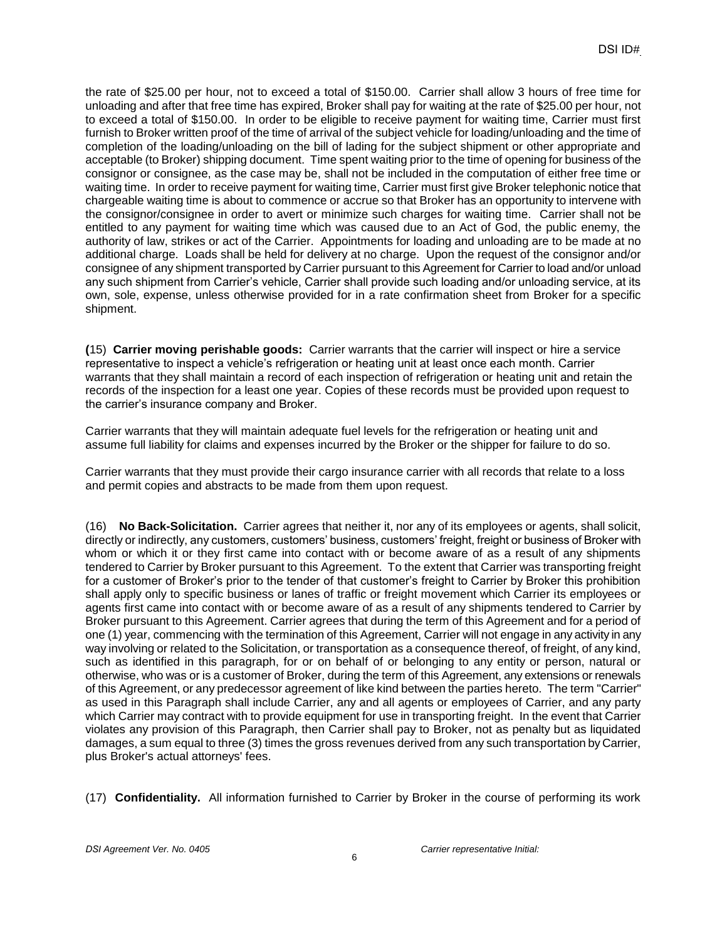the rate of \$25.00 per hour, not to exceed a total of \$150.00. Carrier shall allow 3 hours of free time for unloading and after that free time has expired, Broker shall pay for waiting at the rate of \$25.00 per hour, not to exceed a total of \$150.00. In order to be eligible to receive payment for waiting time, Carrier must first furnish to Broker written proof of the time of arrival of the subject vehicle for loading/unloading and the time of completion of the loading/unloading on the bill of lading for the subject shipment or other appropriate and acceptable (to Broker) shipping document. Time spent waiting prior to the time of opening for business of the consignor or consignee, as the case may be, shall not be included in the computation of either free time or waiting time. In order to receive payment for waiting time, Carrier must first give Broker telephonic notice that chargeable waiting time is about to commence or accrue so that Broker has an opportunity to intervene with the consignor/consignee in order to avert or minimize such charges for waiting time. Carrier shall not be entitled to any payment for waiting time which was caused due to an Act of God, the public enemy, the authority of law, strikes or act of the Carrier. Appointments for loading and unloading are to be made at no additional charge. Loads shall be held for delivery at no charge. Upon the request of the consignor and/or consignee of any shipment transported by Carrier pursuant to this Agreement for Carrier to load and/or unload any such shipment from Carrier's vehicle, Carrier shall provide such loading and/or unloading service, at its own, sole, expense, unless otherwise provided for in a rate confirmation sheet from Broker for a specific shipment.

**(**15) **Carrier moving perishable goods:** Carrier warrants that the carrier will inspect or hire a service representative to inspect a vehicle's refrigeration or heating unit at least once each month. Carrier warrants that they shall maintain a record of each inspection of refrigeration or heating unit and retain the records of the inspection for a least one year. Copies of these records must be provided upon request to the carrier's insurance company and Broker.

Carrier warrants that they will maintain adequate fuel levels for the refrigeration or heating unit and assume full liability for claims and expenses incurred by the Broker or the shipper for failure to do so.

Carrier warrants that they must provide their cargo insurance carrier with all records that relate to a loss and permit copies and abstracts to be made from them upon request.

(16) **No Back-Solicitation.** Carrier agrees that neither it, nor any of its employees or agents, shall solicit, directly or indirectly, any customers, customers' business, customers' freight, freight or business of Broker with whom or which it or they first came into contact with or become aware of as a result of any shipments tendered to Carrier by Broker pursuant to this Agreement. To the extent that Carrier was transporting freight for a customer of Broker's prior to the tender of that customer's freight to Carrier by Broker this prohibition shall apply only to specific business or lanes of traffic or freight movement which Carrier its employees or agents first came into contact with or become aware of as a result of any shipments tendered to Carrier by Broker pursuant to this Agreement. Carrier agrees that during the term of this Agreement and for a period of one (1) year, commencing with the termination of this Agreement, Carrier will not engage in any activity in any way involving or related to the Solicitation, or transportation as a consequence thereof, of freight, of any kind, such as identified in this paragraph, for or on behalf of or belonging to any entity or person, natural or otherwise, who was or is a customer of Broker, during the term of this Agreement, any extensions or renewals of this Agreement, or any predecessor agreement of like kind between the parties hereto. The term "Carrier" as used in this Paragraph shall include Carrier, any and all agents or employees of Carrier, and any party which Carrier may contract with to provide equipment for use in transporting freight. In the event that Carrier violates any provision of this Paragraph, then Carrier shall pay to Broker, not as penalty but as liquidated damages, a sum equal to three (3) times the gross revenues derived from any such transportation by Carrier, plus Broker's actual attorneys' fees.

(17) **Confidentiality.** All information furnished to Carrier by Broker in the course of performing its work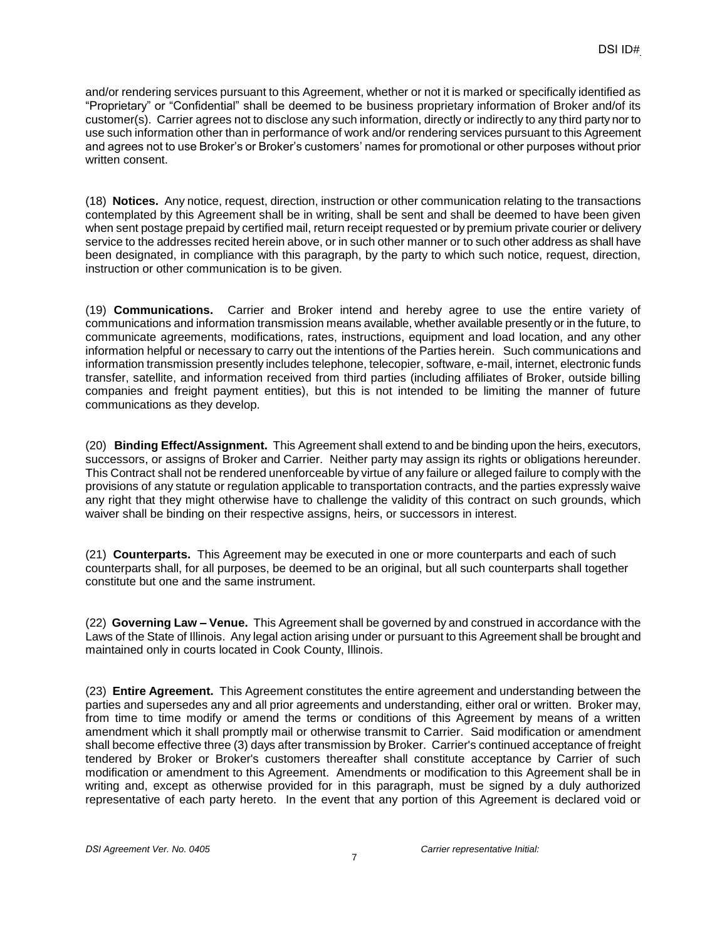and/or rendering services pursuant to this Agreement, whether or not it is marked or specifically identified as "Proprietary" or "Confidential" shall be deemed to be business proprietary information of Broker and/of its customer(s). Carrier agrees not to disclose any such information, directly or indirectly to any third party nor to use such information other than in performance of work and/or rendering services pursuant to this Agreement and agrees not to use Broker's or Broker's customers' names for promotional or other purposes without prior written consent.

(18) **Notices.** Any notice, request, direction, instruction or other communication relating to the transactions contemplated by this Agreement shall be in writing, shall be sent and shall be deemed to have been given when sent postage prepaid by certified mail, return receipt requested or by premium private courier or delivery service to the addresses recited herein above, or in such other manner or to such other address as shall have been designated, in compliance with this paragraph, by the party to which such notice, request, direction, instruction or other communication is to be given.

(19) **Communications.** Carrier and Broker intend and hereby agree to use the entire variety of communications and information transmission means available, whether available presently or in the future, to communicate agreements, modifications, rates, instructions, equipment and load location, and any other information helpful or necessary to carry out the intentions of the Parties herein. Such communications and information transmission presently includes telephone, telecopier, software, e-mail, internet, electronic funds transfer, satellite, and information received from third parties (including affiliates of Broker, outside billing companies and freight payment entities), but this is not intended to be limiting the manner of future communications as they develop.

(20) **Binding Effect/Assignment.** This Agreement shall extend to and be binding upon the heirs, executors, successors, or assigns of Broker and Carrier. Neither party may assign its rights or obligations hereunder. This Contract shall not be rendered unenforceable by virtue of any failure or alleged failure to comply with the provisions of any statute or regulation applicable to transportation contracts, and the parties expressly waive any right that they might otherwise have to challenge the validity of this contract on such grounds, which waiver shall be binding on their respective assigns, heirs, or successors in interest.

(21) **Counterparts.** This Agreement may be executed in one or more counterparts and each of such counterparts shall, for all purposes, be deemed to be an original, but all such counterparts shall together constitute but one and the same instrument.

(22) **Governing Law – Venue.** This Agreement shall be governed by and construed in accordance with the Laws of the State of Illinois. Any legal action arising under or pursuant to this Agreement shall be brought and maintained only in courts located in Cook County, Illinois.

(23) **Entire Agreement.** This Agreement constitutes the entire agreement and understanding between the parties and supersedes any and all prior agreements and understanding, either oral or written. Broker may, from time to time modify or amend the terms or conditions of this Agreement by means of a written amendment which it shall promptly mail or otherwise transmit to Carrier. Said modification or amendment shall become effective three (3) days after transmission by Broker. Carrier's continued acceptance of freight tendered by Broker or Broker's customers thereafter shall constitute acceptance by Carrier of such modification or amendment to this Agreement. Amendments or modification to this Agreement shall be in writing and, except as otherwise provided for in this paragraph, must be signed by a duly authorized representative of each party hereto. In the event that any portion of this Agreement is declared void or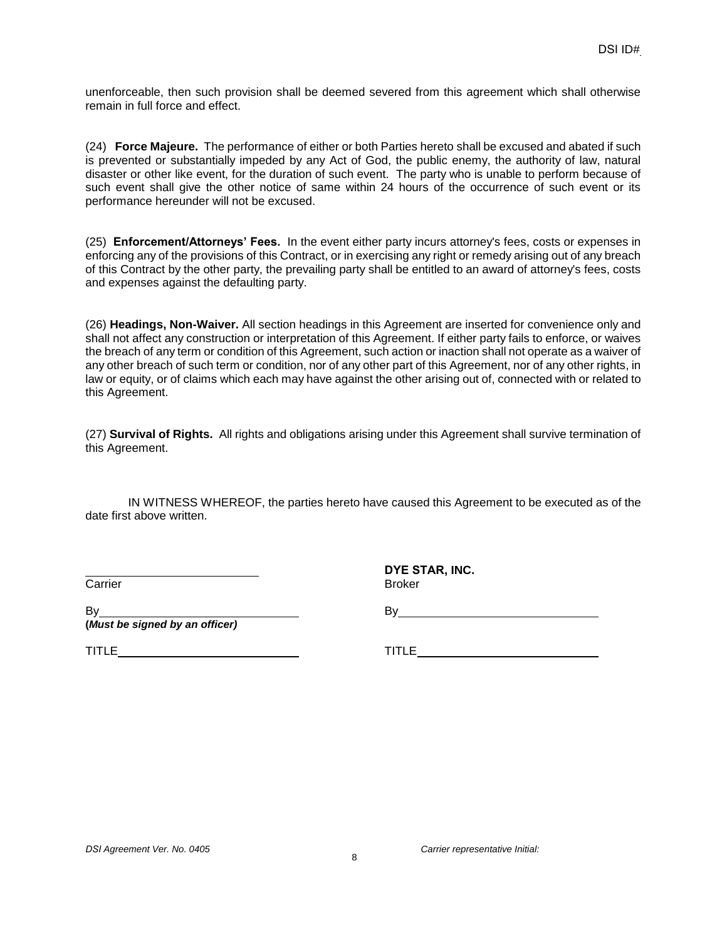unenforceable, then such provision shall be deemed severed from this agreement which shall otherwise remain in full force and effect.

(24) **Force Majeure.** The performance of either or both Parties hereto shall be excused and abated if such is prevented or substantially impeded by any Act of God, the public enemy, the authority of law, natural disaster or other like event, for the duration of such event. The party who is unable to perform because of such event shall give the other notice of same within 24 hours of the occurrence of such event or its performance hereunder will not be excused.

(25) **Enforcement/Attorneys' Fees.** In the event either party incurs attorney's fees, costs or expenses in enforcing any of the provisions of this Contract, or in exercising any right or remedy arising out of any breach of this Contract by the other party, the prevailing party shall be entitled to an award of attorney's fees, costs and expenses against the defaulting party.

(26) **Headings, Non-Waiver.** All section headings in this Agreement are inserted for convenience only and shall not affect any construction or interpretation of this Agreement. If either party fails to enforce, or waives the breach of any term or condition of this Agreement, such action or inaction shall not operate as a waiver of any other breach of such term or condition, nor of any other part of this Agreement, nor of any other rights, in law or equity, or of claims which each may have against the other arising out of, connected with or related to this Agreement.

(27) **Survival of Rights.** All rights and obligations arising under this Agreement shall survive termination of this Agreement.

IN WITNESS WHEREOF, the parties hereto have caused this Agreement to be executed as of the date first above written.

Carrier

**DYE STAR, INC.** Broker

B<sub>v</sub> **(***Must be signed by an officer)*

By **Example 20** 

TITLE

TITLE **TITLE**